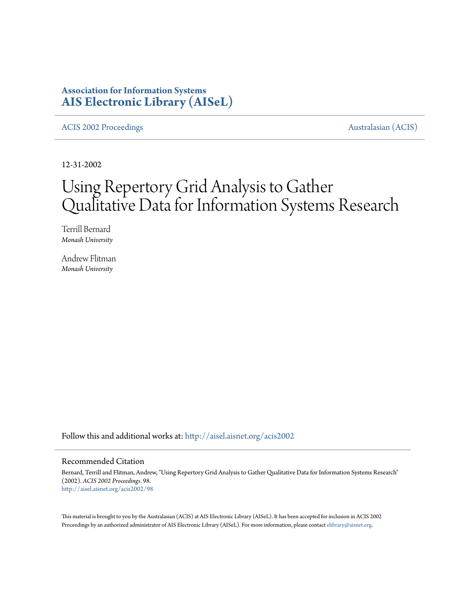# **Association for Information Systems [AIS Electronic Library \(AISeL\)](http://aisel.aisnet.org?utm_source=aisel.aisnet.org%2Facis2002%2F98&utm_medium=PDF&utm_campaign=PDFCoverPages)**

[ACIS 2002 Proceedings](http://aisel.aisnet.org/acis2002?utm_source=aisel.aisnet.org%2Facis2002%2F98&utm_medium=PDF&utm_campaign=PDFCoverPages) **Australasian** (ACIS)

12-31-2002

# Using Repertory Grid Analysis to Gather Qualitative Data for Information Systems Research

Terrill Bernard *Monash University*

Andrew Flitman *Monash University*

Follow this and additional works at: [http://aisel.aisnet.org/acis2002](http://aisel.aisnet.org/acis2002?utm_source=aisel.aisnet.org%2Facis2002%2F98&utm_medium=PDF&utm_campaign=PDFCoverPages)

### Recommended Citation

Bernard, Terrill and Flitman, Andrew, "Using Repertory Grid Analysis to Gather Qualitative Data for Information Systems Research" (2002). *ACIS 2002 Proceedings*. 98. [http://aisel.aisnet.org/acis2002/98](http://aisel.aisnet.org/acis2002/98?utm_source=aisel.aisnet.org%2Facis2002%2F98&utm_medium=PDF&utm_campaign=PDFCoverPages)

This material is brought to you by the Australasian (ACIS) at AIS Electronic Library (AISeL). It has been accepted for inclusion in ACIS 2002 Proceedings by an authorized administrator of AIS Electronic Library (AISeL). For more information, please contact [elibrary@aisnet.org](mailto:elibrary@aisnet.org%3E).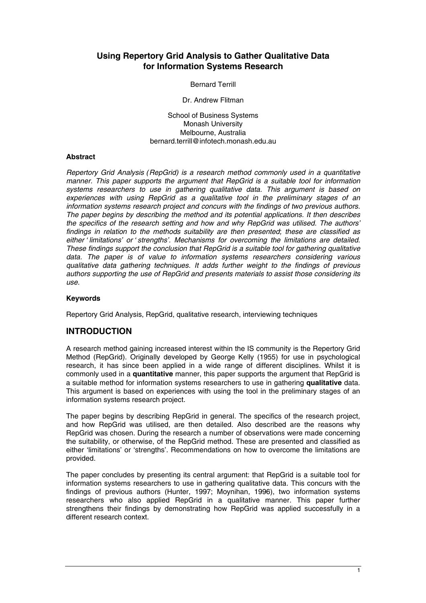## **Using Repertory Grid Analysis to Gather Qualitative Data for Information Systems Research**

Bernard Terrill

Dr. Andrew Flitman

School of Business Systems Monash University Melbourne, Australia bernard.terrill@infotech.monash.edu.au

### **Abstract**

*Repertory Grid Analysis (RepGrid) is a research method commonly used in a quantitative manner. This paper supports the argument that RepGrid is a suitable tool for information systems researchers to use in gathering qualitative data. This argument is based on experiences with using RepGrid as a qualitative tool in the preliminary stages of an information systems research project and concurs with the findings of two previous authors. The paper begins by describing the method and its potential applications. It then describes the specifics of the research setting and how and why RepGrid was utilised. The authors' findings in relation to the methods suitability are then presented; these are classified as either 'limitations' or 'strengths'. Mechanisms for overcoming the limitations are detailed. These findings support the conclusion that RepGrid is a suitable tool for gathering qualitative data. The paper is of value to information systems researchers considering various qualitative data gathering techniques. It adds further weight to the findings of previous authors supporting the use of RepGrid and presents materials to assist those considering its use.* 

### **Keywords**

Repertory Grid Analysis, RepGrid, qualitative research, interviewing techniques

### **INTRODUCTION**

A research method gaining increased interest within the IS community is the Repertory Grid Method (RepGrid). Originally developed by George Kelly (1955) for use in psychological research, it has since been applied in a wide range of different disciplines. Whilst it is commonly used in a **quantitative** manner, this paper supports the argument that RepGrid is a suitable method for information systems researchers to use in gathering **qualitative** data. This argument is based on experiences with using the tool in the preliminary stages of an information systems research project.

The paper begins by describing RepGrid in general. The specifics of the research project, and how RepGrid was utilised, are then detailed. Also described are the reasons why RepGrid was chosen. During the research a number of observations were made concerning the suitability, or otherwise, of the RepGrid method. These are presented and classified as either 'limitations' or 'strengths'. Recommendations on how to overcome the limitations are provided.

The paper concludes by presenting its central argument: that RepGrid is a suitable tool for information systems researchers to use in gathering qualitative data. This concurs with the findings of previous authors (Hunter, 1997; Moynihan, 1996), two information systems researchers who also applied RepGrid in a qualitative manner. This paper further strengthens their findings by demonstrating how RepGrid was applied successfully in a different research context.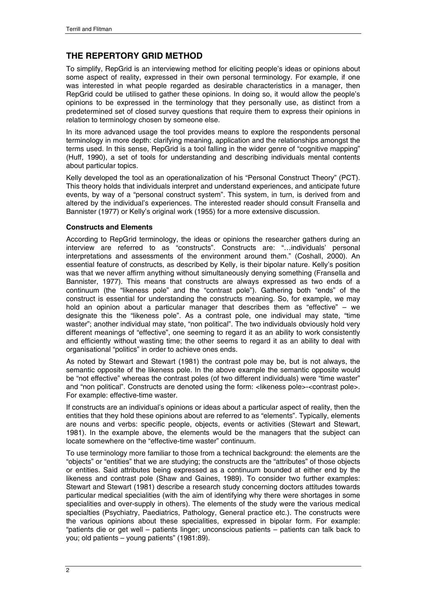# **THE REPERTORY GRID METHOD**

To simplify, RepGrid is an interviewing method for eliciting people's ideas or opinions about some aspect of reality, expressed in their own personal terminology. For example, if one was interested in what people regarded as desirable characteristics in a manager, then RepGrid could be utilised to gather these opinions. In doing so, it would allow the people's opinions to be expressed in the terminology that they personally use, as distinct from a predetermined set of closed survey questions that require them to express their opinions in relation to terminology chosen by someone else.

In its more advanced usage the tool provides means to explore the respondents personal terminology in more depth: clarifying meaning, application and the relationships amongst the terms used. In this sense, RepGrid is a tool falling in the wider genre of "cognitive mapping" (Huff, 1990), a set of tools for understanding and describing individuals mental contents about particular topics.

Kelly developed the tool as an operationalization of his "Personal Construct Theory" (PCT). This theory holds that individuals interpret and understand experiences, and anticipate future events, by way of a "personal construct system". This system, in turn, is derived from and altered by the individual's experiences. The interested reader should consult Fransella and Bannister (1977) or Kelly's original work (1955) for a more extensive discussion.

### **Constructs and Elements**

According to RepGrid terminology, the ideas or opinions the researcher gathers during an interview are referred to as "constructs". Constructs are: "…individuals' personal interpretations and assessments of the environment around them." (Coshall, 2000). An essential feature of constructs, as described by Kelly, is their bipolar nature. Kelly's position was that we never affirm anything without simultaneously denying something (Fransella and Bannister, 1977). This means that constructs are always expressed as two ends of a continuum (the "likeness pole" and the "contrast pole"). Gathering both "ends" of the construct is essential for understanding the constructs meaning. So, for example, we may hold an opinion about a particular manager that describes them as "effective" – we designate this the "likeness pole". As a contrast pole, one individual may state, "time waster"; another individual may state, "non political". The two individuals obviously hold very different meanings of "effective", one seeming to regard it as an ability to work consistently and efficiently without wasting time; the other seems to regard it as an ability to deal with organisational "politics" in order to achieve ones ends.

As noted by Stewart and Stewart (1981) the contrast pole may be, but is not always, the semantic opposite of the likeness pole. In the above example the semantic opposite would be "not effective" whereas the contrast poles (of two different individuals) were "time waster" and "non political". Constructs are denoted using the form: <likeness pole>-<contrast pole>. For example: effective-time waster.

If constructs are an individual's opinions or ideas about a particular aspect of reality, then the entities that they hold these opinions about are referred to as "elements". Typically, elements are nouns and verbs: specific people, objects, events or activities (Stewart and Stewart, 1981). In the example above, the elements would be the managers that the subject can locate somewhere on the "effective-time waster" continuum.

To use terminology more familiar to those from a technical background: the elements are the "objects" or "entities" that we are studying; the constructs are the "attributes" of those objects or entities. Said attributes being expressed as a continuum bounded at either end by the likeness and contrast pole (Shaw and Gaines, 1989). To consider two further examples: Stewart and Stewart (1981) describe a research study concerning doctors attitudes towards particular medical specialities (with the aim of identifying why there were shortages in some specialities and over-supply in others). The elements of the study were the various medical specialties (Psychiatry, Paediatrics, Pathology, General practice etc.). The constructs were the various opinions about these specialities, expressed in bipolar form. For example: "patients die or get well – patients linger; unconscious patients – patients can talk back to you; old patients – young patients" (1981:89).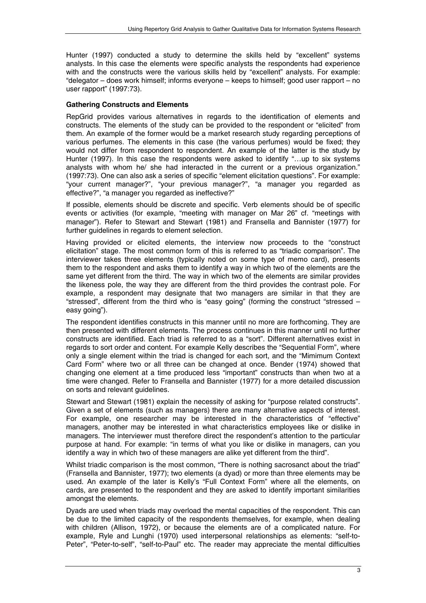Hunter (1997) conducted a study to determine the skills held by "excellent" systems analysts. In this case the elements were specific analysts the respondents had experience with and the constructs were the various skills held by "excellent" analysts. For example: "delegator – does work himself; informs everyone – keeps to himself; good user rapport – no user rapport" (1997:73).

### **Gathering Constructs and Elements**

RepGrid provides various alternatives in regards to the identification of elements and constructs. The elements of the study can be provided to the respondent or "elicited" from them. An example of the former would be a market research study regarding perceptions of various perfumes. The elements in this case (the various perfumes) would be fixed; they would not differ from respondent to respondent. An example of the latter is the study by Hunter (1997). In this case the respondents were asked to identify "...up to six systems analysts with whom he/ she had interacted in the current or a previous organization." (1997:73). One can also ask a series of specific "element elicitation questions". For example: "your current manager?", "your previous manager?", "a manager you regarded as effective?", "a manager you regarded as ineffective?"

If possible, elements should be discrete and specific. Verb elements should be of specific events or activities (for example, "meeting with manager on Mar 26" cf. "meetings with manager"). Refer to Stewart and Stewart (1981) and Fransella and Bannister (1977) for further guidelines in regards to element selection.

Having provided or elicited elements, the interview now proceeds to the "construct elicitation" stage. The most common form of this is referred to as "triadic comparison". The interviewer takes three elements (typically noted on some type of memo card), presents them to the respondent and asks them to identify a way in which two of the elements are the same yet different from the third. The way in which two of the elements are similar provides the likeness pole, the way they are different from the third provides the contrast pole. For example, a respondent may designate that two managers are similar in that they are "stressed", different from the third who is "easy going" (forming the construct "stressed – easy going").

The respondent identifies constructs in this manner until no more are forthcoming. They are then presented with different elements. The process continues in this manner until no further constructs are identified. Each triad is referred to as a "sort". Different alternatives exist in regards to sort order and content. For example Kelly describes the "Sequential Form", where only a single element within the triad is changed for each sort, and the "Mimimum Context Card Form" where two or all three can be changed at once. Bender (1974) showed that changing one element at a time produced less "important" constructs than when two at a time were changed. Refer to Fransella and Bannister (1977) for a more detailed discussion on sorts and relevant guidelines.

Stewart and Stewart (1981) explain the necessity of asking for "purpose related constructs". Given a set of elements (such as managers) there are many alternative aspects of interest. For example, one researcher may be interested in the characteristics of "effective" managers, another may be interested in what characteristics employees like or dislike in managers. The interviewer must therefore direct the respondent's attention to the particular purpose at hand. For example: "in terms of what you like or dislike in managers, can you identify a way in which two of these managers are alike yet different from the third".

Whilst triadic comparison is the most common, "There is nothing sacrosanct about the triad" (Fransella and Bannister, 1977); two elements (a dyad) or more than three elements may be used. An example of the later is Kelly's "Full Context Form" where all the elements, on cards, are presented to the respondent and they are asked to identify important similarities amongst the elements.

Dyads are used when triads may overload the mental capacities of the respondent. This can be due to the limited capacity of the respondents themselves, for example, when dealing with children (Allison, 1972), or because the elements are of a complicated nature. For example, Ryle and Lunghi (1970) used interpersonal relationships as elements: "self-to-Peter", "Peter-to-self", "self-to-Paul" etc. The reader may appreciate the mental difficulties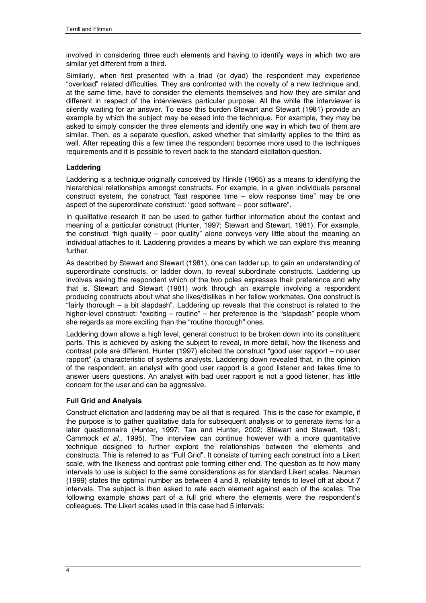involved in considering three such elements and having to identify ways in which two are similar yet different from a third.

Similarly, when first presented with a triad (or dyad) the respondent may experience "overload" related difficulties. They are confronted with the novelty of a new technique and, at the same time, have to consider the elements themselves and how they are similar and different in respect of the interviewers particular purpose. All the while the interviewer is silently waiting for an answer. To ease this burden Stewart and Stewart (1981) provide an example by which the subject may be eased into the technique. For example, they may be asked to simply consider the three elements and identify one way in which two of them are similar. Then, as a separate question, asked whether that similarity applies to the third as well. After repeating this a few times the respondent becomes more used to the techniques requirements and it is possible to revert back to the standard elicitation question.

### **Laddering**

Laddering is a technique originally conceived by Hinkle (1965) as a means to identifying the hierarchical relationships amongst constructs. For example, in a given individuals personal construct system, the construct "fast response time – slow response time" may be one aspect of the superordinate construct: "good software – poor software".

In qualitative research it can be used to gather further information about the context and meaning of a particular construct (Hunter, 1997; Stewart and Stewart, 1981). For example, the construct "high quality – poor quality" alone conveys very little about the meaning an individual attaches to it. Laddering provides a means by which we can explore this meaning further.

As described by Stewart and Stewart (1981), one can ladder up, to gain an understanding of superordinate constructs, or ladder down, to reveal subordinate constructs. Laddering up involves asking the respondent which of the two poles expresses their preference and why that is. Stewart and Stewart (1981) work through an example involving a respondent producing constructs about what she likes/dislikes in her fellow workmates. One construct is "fairly thorough – a bit slapdash". Laddering up reveals that this construct is related to the higher-level construct: "exciting – routine" – her preference is the "slapdash" people whom she regards as more exciting than the "routine thorough" ones.

Laddering down allows a high level, general construct to be broken down into its constituent parts. This is achieved by asking the subject to reveal, in more detail, how the likeness and contrast pole are different. Hunter (1997) elicited the construct "good user rapport – no user rapport" (a characteristic of systems analysts. Laddering down revealed that, in the opinion of the respondent, an analyst with good user rapport is a good listener and takes time to answer users questions. An analyst with bad user rapport is not a good listener, has little concern for the user and can be aggressive.

### **Full Grid and Analysis**

Construct elicitation and laddering may be all that is required. This is the case for example, if the purpose is to gather qualitative data for subsequent analysis or to generate items for a later questionnaire (Hunter, 1997; Tan and Hunter, 2002; Stewart and Stewart, 1981; Cammock *et al*., 1995). The interview can continue however with a more quantitative technique designed to further explore the relationships between the elements and constructs. This is referred to as "Full Grid". It consists of turning each construct into a Likert scale, with the likeness and contrast pole forming either end. The question as to how many intervals to use is subject to the same considerations as for standard Likert scales. Neuman (1999) states the optimal number as between 4 and 8, reliability tends to level off at about 7 intervals. The subject is then asked to rate each element against each of the scales. The following example shows part of a full grid where the elements were the respondent's colleagues. The Likert scales used in this case had 5 intervals: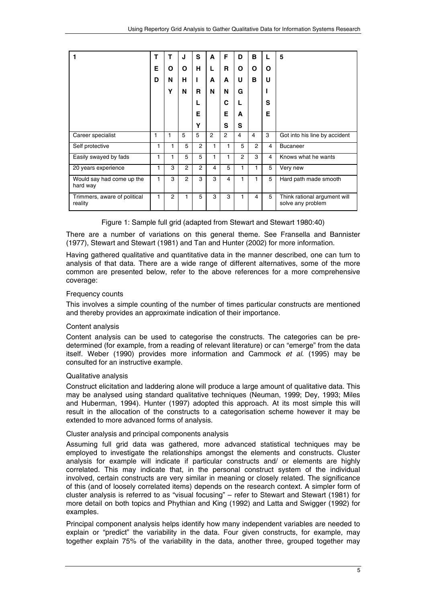| 1                                       | т | т              | J              | S              | A | F              | D              | B              | L | 5                                                 |
|-----------------------------------------|---|----------------|----------------|----------------|---|----------------|----------------|----------------|---|---------------------------------------------------|
|                                         | Е | O              | O              | н              | L | R              | O              | O              | O |                                                   |
|                                         | D | N              | н              |                | A | A              | U              | в              | U |                                                   |
|                                         |   | Y              | N              | R              | N | N              | G              |                |   |                                                   |
|                                         |   |                |                | L              |   | С              | L              |                | S |                                                   |
|                                         |   |                |                | Е              |   | E              | A              |                | Е |                                                   |
|                                         |   |                |                | Υ              |   | S              | S              |                |   |                                                   |
| Career specialist                       | 1 | 1              | 5              | 5              | 2 | $\overline{2}$ | $\overline{4}$ | 4              | 3 | Got into his line by accident                     |
| Self protective                         | 1 | 1              | 5              | $\overline{2}$ | 1 | 1              | 5              | $\overline{2}$ | 4 | <b>Bucaneer</b>                                   |
| Easily swayed by fads                   | 1 | 1              | 5              | 5              | 1 | 1              | $\overline{2}$ | 3              | 4 | Knows what he wants                               |
| 20 years experience                     | 1 | 3              | $\overline{2}$ | $\overline{2}$ | 4 | 5              | 1              | 1              | 5 | Very new                                          |
| Would say had come up the<br>hard way   | 1 | 3              | $\overline{2}$ | 3              | 3 | 4              | 1              | 1              | 5 | Hard path made smooth                             |
| Trimmers, aware of political<br>reality | 1 | $\overline{2}$ | 1              | 5              | 3 | 3              | 1              | 4              | 5 | Think rational argument will<br>solve any problem |

|  |  |  |  | Figure 1: Sample full grid (adapted from Stewart and Stewart 1980:40) |
|--|--|--|--|-----------------------------------------------------------------------|
|--|--|--|--|-----------------------------------------------------------------------|

There are a number of variations on this general theme. See Fransella and Bannister (1977), Stewart and Stewart (1981) and Tan and Hunter (2002) for more information.

Having gathered qualitative and quantitative data in the manner described, one can turn to analysis of that data. There are a wide range of different alternatives, some of the more common are presented below, refer to the above references for a more comprehensive coverage:

### Frequency counts

This involves a simple counting of the number of times particular constructs are mentioned and thereby provides an approximate indication of their importance.

### Content analysis

Content analysis can be used to categorise the constructs. The categories can be predetermined (for example, from a reading of relevant literature) or can "emerge" from the data itself. Weber (1990) provides more information and Cammock *et al*. (1995) may be consulted for an instructive example.

### Qualitative analysis

Construct elicitation and laddering alone will produce a large amount of qualitative data. This may be analysed using standard qualitative techniques (Neuman, 1999; Dey, 1993; Miles and Huberman, 1994). Hunter (1997) adopted this approach. At its most simple this will result in the allocation of the constructs to a categorisation scheme however it may be extended to more advanced forms of analysis.

### Cluster analysis and principal components analysis

Assuming full grid data was gathered, more advanced statistical techniques may be employed to investigate the relationships amongst the elements and constructs. Cluster analysis for example will indicate if particular constructs and/ or elements are highly correlated. This may indicate that, in the personal construct system of the individual involved, certain constructs are very similar in meaning or closely related. The significance of this (and of loosely correlated items) depends on the research context. A simpler form of cluster analysis is referred to as "visual focusing" – refer to Stewart and Stewart (1981) for more detail on both topics and Phythian and King (1992) and Latta and Swigger (1992) for examples.

Principal component analysis helps identify how many independent variables are needed to explain or "predict" the variability in the data. Four given constructs, for example, may together explain 75% of the variability in the data, another three, grouped together may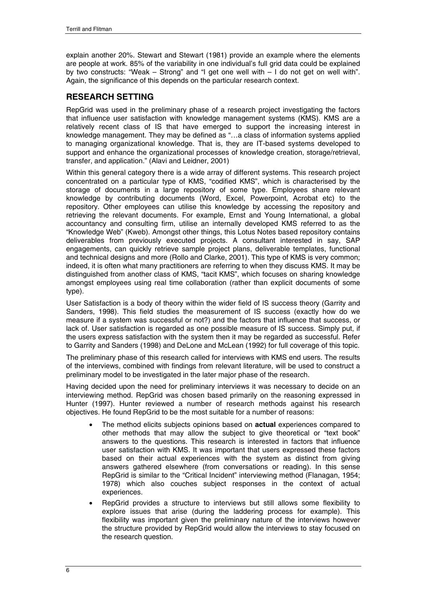explain another 20%. Stewart and Stewart (1981) provide an example where the elements are people at work. 85% of the variability in one individual's full grid data could be explained by two constructs: "Weak – Strong" and "I get one well with – I do not get on well with". Again, the significance of this depends on the particular research context.

### **RESEARCH SETTING**

RepGrid was used in the preliminary phase of a research project investigating the factors that influence user satisfaction with knowledge management systems (KMS). KMS are a relatively recent class of IS that have emerged to support the increasing interest in knowledge management. They may be defined as "…a class of information systems applied to managing organizational knowledge. That is, they are IT-based systems developed to support and enhance the organizational processes of knowledge creation, storage/retrieval, transfer, and application." (Alavi and Leidner, 2001)

Within this general category there is a wide array of different systems. This research project concentrated on a particular type of KMS, "codified KMS", which is characterised by the storage of documents in a large repository of some type. Employees share relevant knowledge by contributing documents (Word, Excel, Powerpoint, Acrobat etc) to the repository. Other employees can utilise this knowledge by accessing the repository and retrieving the relevant documents. For example, Ernst and Young International, a global accountancy and consulting firm, utilise an internally developed KMS referred to as the "Knowledge Web" (Kweb). Amongst other things, this Lotus Notes based repository contains deliverables from previously executed projects. A consultant interested in say, SAP engagements, can quickly retrieve sample project plans, deliverable templates, functional and technical designs and more (Rollo and Clarke, 2001). This type of KMS is very common; indeed, it is often what many practitioners are referring to when they discuss KMS. It may be distinguished from another class of KMS, "tacit KMS", which focuses on sharing knowledge amongst employees using real time collaboration (rather than explicit documents of some type).

User Satisfaction is a body of theory within the wider field of IS success theory (Garrity and Sanders, 1998). This field studies the measurement of IS success (exactly how do we measure if a system was successful or not?) and the factors that influence that success, or lack of. User satisfaction is regarded as one possible measure of IS success. Simply put, if the users express satisfaction with the system then it may be regarded as successful. Refer to Garrity and Sanders (1998) and DeLone and McLean (1992) for full coverage of this topic.

The preliminary phase of this research called for interviews with KMS end users. The results of the interviews, combined with findings from relevant literature, will be used to construct a preliminary model to be investigated in the later major phase of the research.

Having decided upon the need for preliminary interviews it was necessary to decide on an interviewing method. RepGrid was chosen based primarily on the reasoning expressed in Hunter (1997). Hunter reviewed a number of research methods against his research objectives. He found RepGrid to be the most suitable for a number of reasons:

- The method elicits subjects opinions based on **actual** experiences compared to other methods that may allow the subject to give theoretical or "text book" answers to the questions. This research is interested in factors that influence user satisfaction with KMS. It was important that users expressed these factors based on their actual experiences with the system as distinct from giving answers gathered elsewhere (from conversations or reading). In this sense RepGrid is similar to the "Critical Incident" interviewing method (Flanagan, 1954; 1978) which also couches subject responses in the context of actual experiences.
- RepGrid provides a structure to interviews but still allows some flexibility to explore issues that arise (during the laddering process for example). This flexibility was important given the preliminary nature of the interviews however the structure provided by RepGrid would allow the interviews to stay focused on the research question.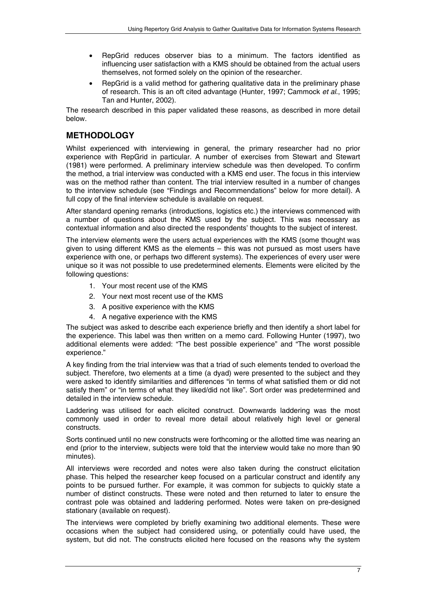- RepGrid reduces observer bias to a minimum. The factors identified as influencing user satisfaction with a KMS should be obtained from the actual users themselves, not formed solely on the opinion of the researcher.
- RepGrid is a valid method for gathering qualitative data in the preliminary phase of research. This is an oft cited advantage (Hunter, 1997; Cammock *et al*., 1995; Tan and Hunter, 2002).

The research described in this paper validated these reasons, as described in more detail below.

# **METHODOLOGY**

Whilst experienced with interviewing in general, the primary researcher had no prior experience with RepGrid in particular. A number of exercises from Stewart and Stewart (1981) were performed. A preliminary interview schedule was then developed. To confirm the method, a trial interview was conducted with a KMS end user. The focus in this interview was on the method rather than content. The trial interview resulted in a number of changes to the interview schedule (see "Findings and Recommendations" below for more detail). A full copy of the final interview schedule is available on request.

After standard opening remarks (introductions, logistics etc.) the interviews commenced with a number of questions about the KMS used by the subject. This was necessary as contextual information and also directed the respondents' thoughts to the subject of interest.

The interview elements were the users actual experiences with the KMS (some thought was given to using different KMS as the elements – this was not pursued as most users have experience with one, or perhaps two different systems). The experiences of every user were unique so it was not possible to use predetermined elements. Elements were elicited by the following questions:

- 1. Your most recent use of the KMS
- 2. Your next most recent use of the KMS
- 3. A positive experience with the KMS
- 4. A negative experience with the KMS

The subject was asked to describe each experience briefly and then identify a short label for the experience. This label was then written on a memo card. Following Hunter (1997), two additional elements were added: "The best possible experience" and "The worst possible experience."

A key finding from the trial interview was that a triad of such elements tended to overload the subject. Therefore, two elements at a time (a dyad) were presented to the subject and they were asked to identify similarities and differences "in terms of what satisfied them or did not satisfy them" or "in terms of what they liked/did not like". Sort order was predetermined and detailed in the interview schedule.

Laddering was utilised for each elicited construct. Downwards laddering was the most commonly used in order to reveal more detail about relatively high level or general constructs.

Sorts continued until no new constructs were forthcoming or the allotted time was nearing an end (prior to the interview, subjects were told that the interview would take no more than 90 minutes).

All interviews were recorded and notes were also taken during the construct elicitation phase. This helped the researcher keep focused on a particular construct and identify any points to be pursued further. For example, it was common for subjects to quickly state a number of distinct constructs. These were noted and then returned to later to ensure the contrast pole was obtained and laddering performed. Notes were taken on pre-designed stationary (available on request).

The interviews were completed by briefly examining two additional elements. These were occasions when the subject had considered using, or potentially could have used, the system, but did not. The constructs elicited here focused on the reasons why the system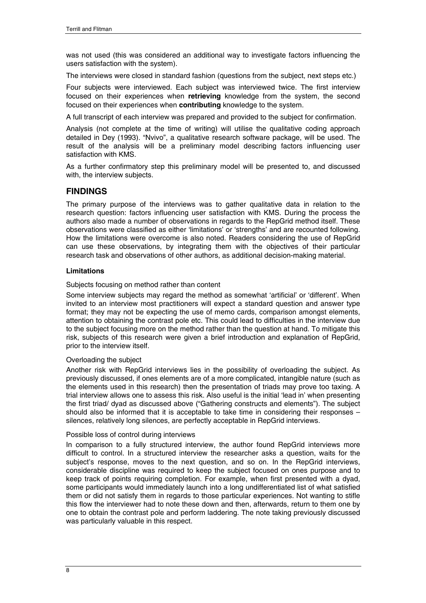was not used (this was considered an additional way to investigate factors influencing the users satisfaction with the system).

The interviews were closed in standard fashion (questions from the subject, next steps etc.)

Four subjects were interviewed. Each subject was interviewed twice. The first interview focused on their experiences when **retrieving** knowledge from the system, the second focused on their experiences when **contributing** knowledge to the system.

A full transcript of each interview was prepared and provided to the subject for confirmation.

Analysis (not complete at the time of writing) will utilise the qualitative coding approach detailed in Dey (1993). "Nvivo", a qualitative research software package, will be used. The result of the analysis will be a preliminary model describing factors influencing user satisfaction with KMS.

As a further confirmatory step this preliminary model will be presented to, and discussed with, the interview subjects.

### **FINDINGS**

The primary purpose of the interviews was to gather qualitative data in relation to the research question: factors influencing user satisfaction with KMS. During the process the authors also made a number of observations in regards to the RepGrid method itself. These observations were classified as either 'limitations' or 'strengths' and are recounted following. How the limitations were overcome is also noted. Readers considering the use of RepGrid can use these observations, by integrating them with the objectives of their particular research task and observations of other authors, as additional decision-making material.

### **Limitations**

Subjects focusing on method rather than content

Some interview subjects may regard the method as somewhat 'artificial' or 'different'. When invited to an interview most practitioners will expect a standard question and answer type format; they may not be expecting the use of memo cards, comparison amongst elements, attention to obtaining the contrast pole etc. This could lead to difficulties in the interview due to the subject focusing more on the method rather than the question at hand. To mitigate this risk, subjects of this research were given a brief introduction and explanation of RepGrid, prior to the interview itself.

### Overloading the subject

Another risk with RepGrid interviews lies in the possibility of overloading the subject. As previously discussed, if ones elements are of a more complicated, intangible nature (such as the elements used in this research) then the presentation of triads may prove too taxing. A trial interview allows one to assess this risk. Also useful is the initial 'lead in' when presenting the first triad/ dyad as discussed above ("Gathering constructs and elements"). The subject should also be informed that it is acceptable to take time in considering their responses – silences, relatively long silences, are perfectly acceptable in RepGrid interviews.

#### Possible loss of control during interviews

In comparison to a fully structured interview, the author found RepGrid interviews more difficult to control. In a structured interview the researcher asks a question, waits for the subject's response, moves to the next question, and so on. In the RepGrid interviews, considerable discipline was required to keep the subject focused on ones purpose and to keep track of points requiring completion. For example, when first presented with a dyad, some participants would immediately launch into a long undifferentiated list of what satisfied them or did not satisfy them in regards to those particular experiences. Not wanting to stifle this flow the interviewer had to note these down and then, afterwards, return to them one by one to obtain the contrast pole and perform laddering. The note taking previously discussed was particularly valuable in this respect.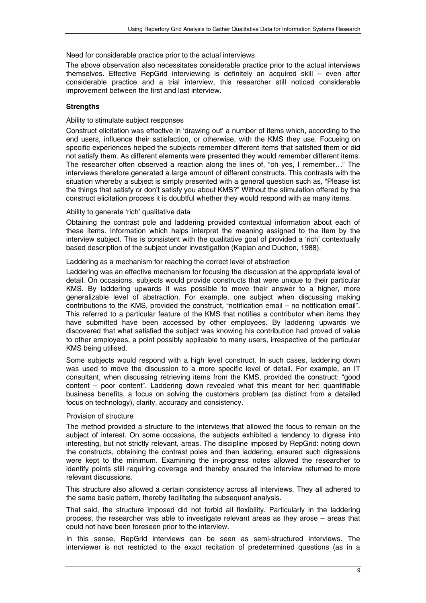### Need for considerable practice prior to the actual interviews

The above observation also necessitates considerable practice prior to the actual interviews themselves. Effective RepGrid interviewing is definitely an acquired skill – even after considerable practice and a trial interview, this researcher still noticed considerable improvement between the first and last interview.

### **Strengths**

### Ability to stimulate subject responses

Construct elicitation was effective in 'drawing out' a number of items which, according to the end users, influence their satisfaction, or otherwise, with the KMS they use. Focusing on specific experiences helped the subjects remember different items that satisfied them or did not satisfy them. As different elements were presented they would remember different items. The researcher often observed a reaction along the lines of, "oh yes, I remember…" The interviews therefore generated a large amount of different constructs. This contrasts with the situation whereby a subject is simply presented with a general question such as, "Please list the things that satisfy or don't satisfy you about KMS?" Without the stimulation offered by the construct elicitation process it is doubtful whether they would respond with as many items.

### Ability to generate 'rich' qualitative data

Obtaining the contrast pole and laddering provided contextual information about each of these items. Information which helps interpret the meaning assigned to the item by the interview subject. This is consistent with the qualitative goal of provided a 'rich' contextually based description of the subject under investigation (Kaplan and Duchon, 1988).

### Laddering as a mechanism for reaching the correct level of abstraction

Laddering was an effective mechanism for focusing the discussion at the appropriate level of detail. On occasions, subjects would provide constructs that were unique to their particular KMS. By laddering upwards it was possible to move their answer to a higher, more generalizable level of abstraction. For example, one subject when discussing making contributions to the KMS, provided the construct, "notification email – no notification email". This referred to a particular feature of the KMS that notifies a contributor when items they have submitted have been accessed by other employees. By laddering upwards we discovered that what satisfied the subject was knowing his contribution had proved of value to other employees, a point possibly applicable to many users, irrespective of the particular KMS being utilised.

Some subjects would respond with a high level construct. In such cases, laddering down was used to move the discussion to a more specific level of detail. For example, an IT consultant, when discussing retrieving items from the KMS, provided the construct: "good content – poor content". Laddering down revealed what this meant for her: quantifiable business benefits, a focus on solving the customers problem (as distinct from a detailed focus on technology), clarity, accuracy and consistency.

### Provision of structure

The method provided a structure to the interviews that allowed the focus to remain on the subject of interest. On some occasions, the subjects exhibited a tendency to digress into interesting, but not strictly relevant, areas. The discipline imposed by RepGrid: noting down the constructs, obtaining the contrast poles and then laddering, ensured such digressions were kept to the minimum. Examining the in-progress notes allowed the researcher to identify points still requiring coverage and thereby ensured the interview returned to more relevant discussions.

This structure also allowed a certain consistency across all interviews. They all adhered to the same basic pattern, thereby facilitating the subsequent analysis.

That said, the structure imposed did not forbid all flexibility. Particularly in the laddering process, the researcher was able to investigate relevant areas as they arose – areas that could not have been foreseen prior to the interview.

In this sense, RepGrid interviews can be seen as semi-structured interviews. The interviewer is not restricted to the exact recitation of predetermined questions (as in a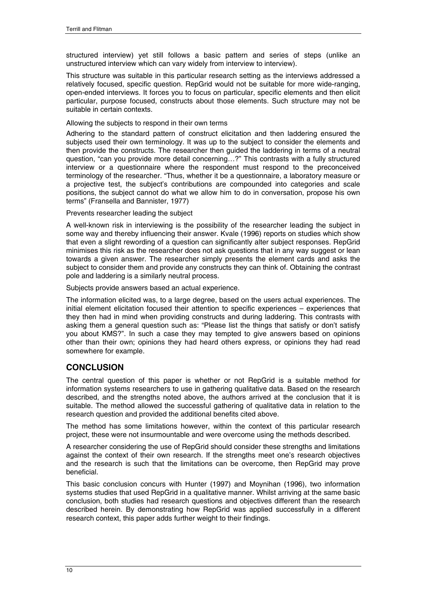structured interview) yet still follows a basic pattern and series of steps (unlike an unstructured interview which can vary widely from interview to interview).

This structure was suitable in this particular research setting as the interviews addressed a relatively focused, specific question. RepGrid would not be suitable for more wide-ranging, open-ended interviews. It forces you to focus on particular, specific elements and then elicit particular, purpose focused, constructs about those elements. Such structure may not be suitable in certain contexts.

### Allowing the subjects to respond in their own terms

Adhering to the standard pattern of construct elicitation and then laddering ensured the subjects used their own terminology. It was up to the subject to consider the elements and then provide the constructs. The researcher then guided the laddering in terms of a neutral question, "can you provide more detail concerning…?" This contrasts with a fully structured interview or a questionnaire where the respondent must respond to the preconceived terminology of the researcher. "Thus, whether it be a questionnaire, a laboratory measure or a projective test, the subject's contributions are compounded into categories and scale positions, the subject cannot do what we allow him to do in conversation, propose his own terms" (Fransella and Bannister, 1977)

Prevents researcher leading the subject

A well-known risk in interviewing is the possibility of the researcher leading the subject in some way and thereby influencing their answer. Kvale (1996) reports on studies which show that even a slight rewording of a question can significantly alter subject responses. RepGrid minimises this risk as the researcher does not ask questions that in any way suggest or lean towards a given answer. The researcher simply presents the element cards and asks the subject to consider them and provide any constructs they can think of. Obtaining the contrast pole and laddering is a similarly neutral process.

Subjects provide answers based an actual experience.

The information elicited was, to a large degree, based on the users actual experiences. The initial element elicitation focused their attention to specific experiences – experiences that they then had in mind when providing constructs and during laddering. This contrasts with asking them a general question such as: "Please list the things that satisfy or don't satisfy you about KMS?". In such a case they may tempted to give answers based on opinions other than their own; opinions they had heard others express, or opinions they had read somewhere for example.

### **CONCLUSION**

The central question of this paper is whether or not RepGrid is a suitable method for information systems researchers to use in gathering qualitative data. Based on the research described, and the strengths noted above, the authors arrived at the conclusion that it is suitable. The method allowed the successful gathering of qualitative data in relation to the research question and provided the additional benefits cited above.

The method has some limitations however, within the context of this particular research project, these were not insurmountable and were overcome using the methods described.

A researcher considering the use of RepGrid should consider these strengths and limitations against the context of their own research. If the strengths meet one's research objectives and the research is such that the limitations can be overcome, then RepGrid may prove beneficial.

This basic conclusion concurs with Hunter (1997) and Moynihan (1996), two information systems studies that used RepGrid in a qualitative manner. Whilst arriving at the same basic conclusion, both studies had research questions and objectives different than the research described herein. By demonstrating how RepGrid was applied successfully in a different research context, this paper adds further weight to their findings.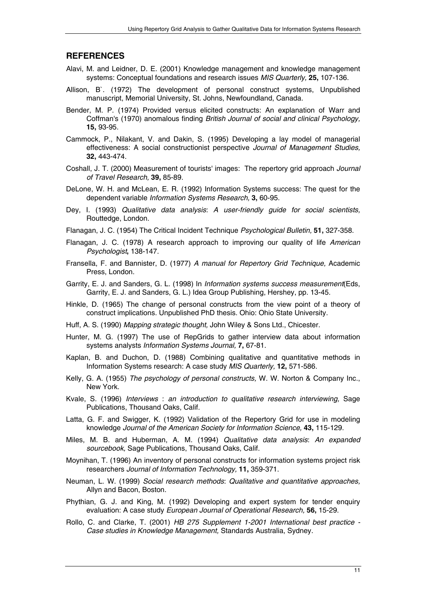### **REFERENCES**

- Alavi, M. and Leidner, D. E. (2001) Knowledge management and knowledge management systems: Conceptual foundations and research issues *MIS Quarterly,* **25,** 107-136.
- Allison, B`. (1972) The development of personal construct systems, Unpublished manuscript, Memorial University, St. Johns, Newfoundland, Canada.
- Bender, M. P. (1974) Provided versus elicited constructs: An explanation of Warr and Coffman's (1970) anomalous finding *British Journal of social and clinical Psychology,* **15,** 93-95.
- Cammock, P., Nilakant, V. and Dakin, S. (1995) Developing a lay model of managerial effectiveness: A social constructionist perspective *Journal of Management Studies,* **32,** 443-474.
- Coshall, J. T. (2000) Measurement of tourists' images: The repertory grid approach *Journal of Travel Research,* **39,** 85-89.
- DeLone, W. H. and McLean, E. R. (1992) Information Systems success: The quest for the dependent variable *Information Systems Research,* **3,** 60-95.
- Dey, I. (1993) *Qualitative data analysis: A user-friendly guide for social scientists,*  Routtedge, London.
- Flanagan, J. C. (1954) The Critical Incident Technique *Psychological Bulletin,* **51,** 327-358.
- Flanagan, J. C. (1978) A research approach to improving our quality of life *American Psychologist***,** 138-147.
- Fransella, F. and Bannister, D. (1977) *A manual for Repertory Grid Technique,* Academic Press, London.
- Garrity, E. J. and Sanders, G. L. (1998) In *Information systems success measurement*(Eds, Garrity, E. J. and Sanders, G. L.) Idea Group Publishing, Hershey, pp. 13-45.
- Hinkle, D. (1965) The change of personal constructs from the view point of a theory of construct implications. Unpublished PhD thesis. Ohio: Ohio State University.
- Huff, A. S. (1990) *Mapping strategic thought,* John Wiley & Sons Ltd., Chicester.
- Hunter, M. G. (1997) The use of RepGrids to gather interview data about information systems analysts *Information Systems Journal,* **7,** 67-81.
- Kaplan, B. and Duchon, D. (1988) Combining qualitative and quantitative methods in Information Systems research: A case study *MIS Quarterly,* **12,** 571-586.
- Kelly, G. A. (1955) *The psychology of personal constructs,* W. W. Norton & Company Inc., New York.
- Kvale, S. (1996) *Interviews : an introduction to qualitative research interviewing,* Sage Publications, Thousand Oaks, Calif.
- Latta, G. F. and Swigger, K. (1992) Validation of the Repertory Grid for use in modeling knowledge *Journal of the American Society for Information Science,* **43,** 115-129.
- Miles, M. B. and Huberman, A. M. (1994) *Qualitative data analysis: An expanded sourcebook,* Sage Publications, Thousand Oaks, Calif.
- Moynihan, T. (1996) An inventory of personal constructs for information systems project risk researchers *Journal of Information Technology,* **11,** 359-371.
- Neuman, L. W. (1999) *Social research methods: Qualitative and quantitative approaches,*  Allyn and Bacon, Boston.
- Phythian, G. J. and King, M. (1992) Developing and expert system for tender enquiry evaluation: A case study *European Journal of Operational Research,* **56,** 15-29.
- Rollo, C. and Clarke, T. (2001) *HB 275 Supplement 1-2001 International best practice Case studies in Knowledge Management,* Standards Australia, Sydney.